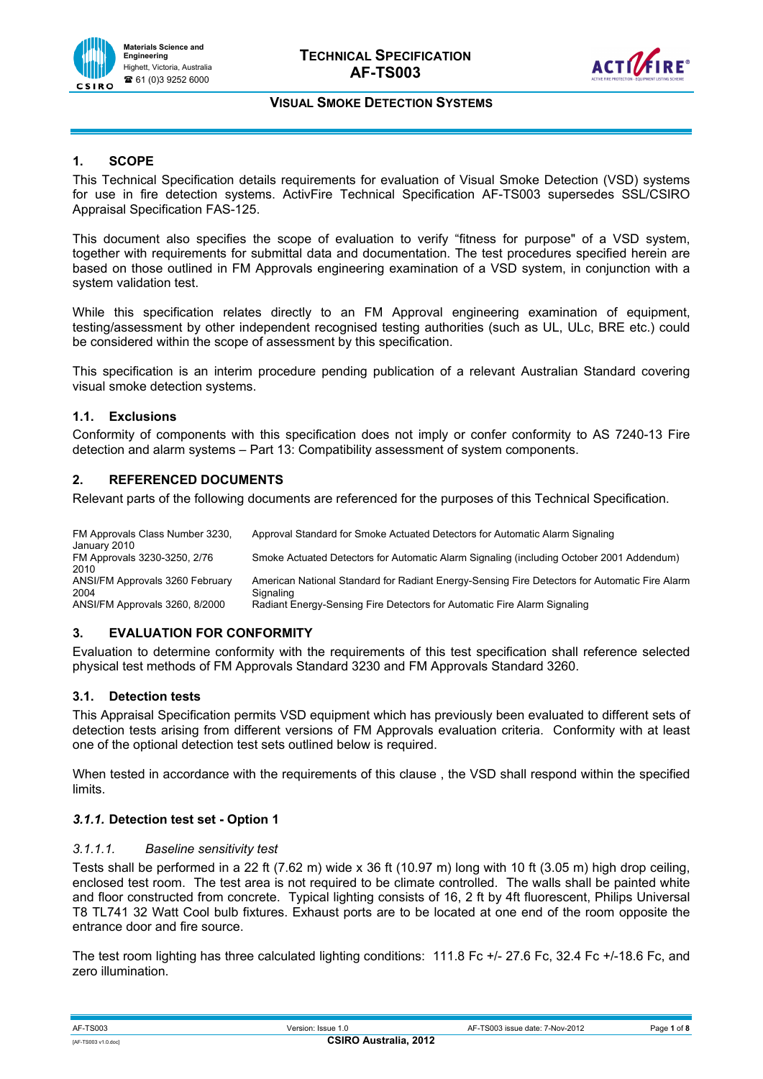

# **1. SCOPE**

This Technical Specification details requirements for evaluation of Visual Smoke Detection (VSD) systems for use in fire detection systems. ActivFire Technical Specification AF-TS003 supersedes SSL/CSIRO Appraisal Specification FAS-125.

This document also specifies the scope of evaluation to verify "fitness for purpose" of a VSD system, together with requirements for submittal data and documentation. The test procedures specified herein are based on those outlined in FM Approvals engineering examination of a VSD system, in conjunction with a system validation test.

While this specification relates directly to an FM Approval engineering examination of equipment, testing/assessment by other independent recognised testing authorities (such as UL, ULc, BRE etc.) could be considered within the scope of assessment by this specification.

This specification is an interim procedure pending publication of a relevant Australian Standard covering visual smoke detection systems.

## **1.1. Exclusions**

Conformity of components with this specification does not imply or confer conformity to AS 7240-13 Fire detection and alarm systems – Part 13: Compatibility assessment of system components.

## **2. REFERENCED DOCUMENTS**

Relevant parts of the following documents are referenced for the purposes of this Technical Specification.

| FM Approvals Class Number 3230,<br>January 2010 | Approval Standard for Smoke Actuated Detectors for Automatic Alarm Signaling                               |
|-------------------------------------------------|------------------------------------------------------------------------------------------------------------|
| FM Approvals 3230-3250, 2/76<br>2010            | Smoke Actuated Detectors for Automatic Alarm Signaling (including October 2001 Addendum)                   |
| ANSI/FM Approvals 3260 February<br>2004         | American National Standard for Radiant Energy-Sensing Fire Detectors for Automatic Fire Alarm<br>Signaling |
| ANSI/FM Approvals 3260, 8/2000                  | Radiant Energy-Sensing Fire Detectors for Automatic Fire Alarm Signaling                                   |

## **3. EVALUATION FOR CONFORMITY**

Evaluation to determine conformity with the requirements of this test specification shall reference selected physical test methods of FM Approvals Standard 3230 and FM Approvals Standard 3260.

## **3.1. Detection tests**

This Appraisal Specification permits VSD equipment which has previously been evaluated to different sets of detection tests arising from different versions of FM Approvals evaluation criteria. Conformity with at least one of the optional detection test sets outlined below is required.

When tested in accordance with the requirements of this clause , the VSD shall respond within the specified limits.

## *3.1.1.* **Detection test set - Option 1**

### *3.1.1.1. Baseline sensitivity test*

Tests shall be performed in a 22 ft (7.62 m) wide x 36 ft (10.97 m) long with 10 ft (3.05 m) high drop ceiling, enclosed test room. The test area is not required to be climate controlled. The walls shall be painted white and floor constructed from concrete. Typical lighting consists of 16, 2 ft by 4ft fluorescent, Philips Universal T8 TL741 32 Watt Cool bulb fixtures. Exhaust ports are to be located at one end of the room opposite the entrance door and fire source.

The test room lighting has three calculated lighting conditions: 111.8 Fc +/- 27.6 Fc, 32.4 Fc +/-18.6 Fc, and zero illumination.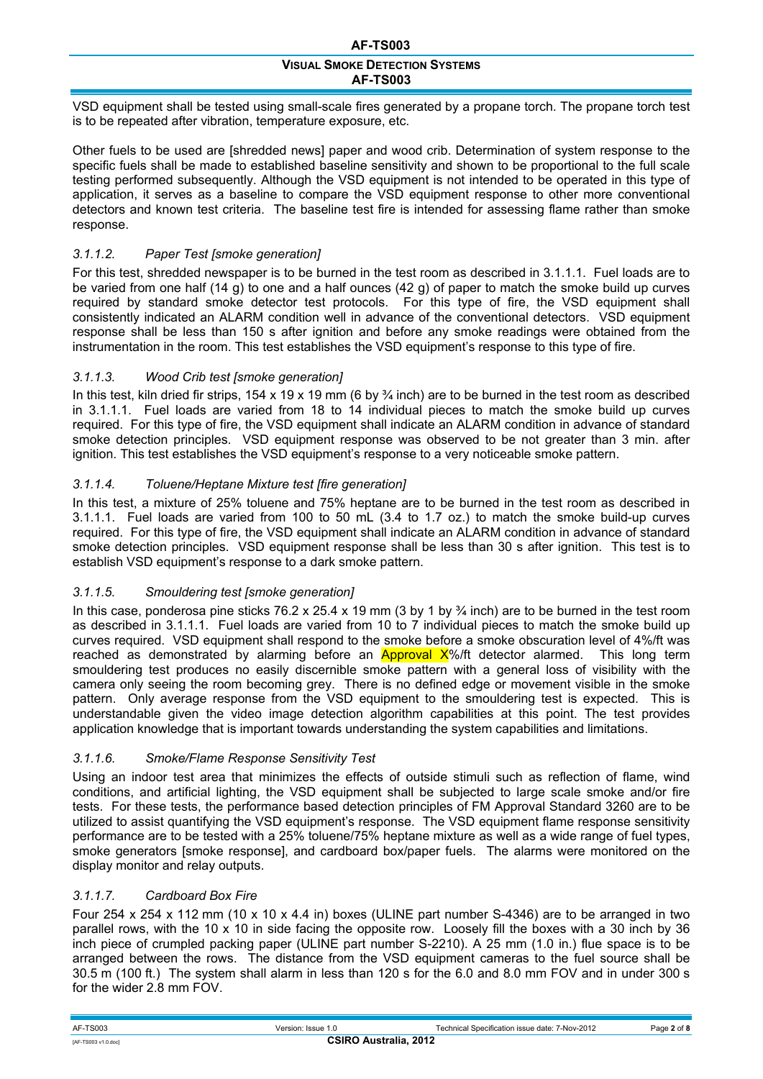VSD equipment shall be tested using small-scale fires generated by a propane torch. The propane torch test is to be repeated after vibration, temperature exposure, etc.

Other fuels to be used are [shredded news] paper and wood crib. Determination of system response to the specific fuels shall be made to established baseline sensitivity and shown to be proportional to the full scale testing performed subsequently. Although the VSD equipment is not intended to be operated in this type of application, it serves as a baseline to compare the VSD equipment response to other more conventional detectors and known test criteria. The baseline test fire is intended for assessing flame rather than smoke response.

# *3.1.1.2. Paper Test [smoke generation]*

For this test, shredded newspaper is to be burned in the test room as described in 3.1.1.1. Fuel loads are to be varied from one half (14 g) to one and a half ounces (42 g) of paper to match the smoke build up curves required by standard smoke detector test protocols. For this type of fire, the VSD equipment shall consistently indicated an ALARM condition well in advance of the conventional detectors. VSD equipment response shall be less than 150 s after ignition and before any smoke readings were obtained from the instrumentation in the room. This test establishes the VSD equipment's response to this type of fire.

## *3.1.1.3. Wood Crib test [smoke generation]*

In this test, kiln dried fir strips,  $154 \times 19 \times 19$  mm (6 by  $\frac{3}{4}$  inch) are to be burned in the test room as described in 3.1.1.1. Fuel loads are varied from 18 to 14 individual pieces to match the smoke build up curves required. For this type of fire, the VSD equipment shall indicate an ALARM condition in advance of standard smoke detection principles. VSD equipment response was observed to be not greater than 3 min. after ignition. This test establishes the VSD equipment's response to a very noticeable smoke pattern.

## *3.1.1.4. Toluene/Heptane Mixture test [fire generation]*

In this test, a mixture of 25% toluene and 75% heptane are to be burned in the test room as described in 3.1.1.1. Fuel loads are varied from 100 to 50 mL (3.4 to 1.7 oz.) to match the smoke build-up curves required. For this type of fire, the VSD equipment shall indicate an ALARM condition in advance of standard smoke detection principles. VSD equipment response shall be less than 30 s after ignition. This test is to establish VSD equipment's response to a dark smoke pattern.

## *3.1.1.5. Smouldering test [smoke generation]*

In this case, ponderosa pine sticks 76.2 x 25.4 x 19 mm (3 by 1 by  $\frac{3}{4}$  inch) are to be burned in the test room as described in 3.1.1.1. Fuel loads are varied from 10 to 7 individual pieces to match the smoke build up curves required. VSD equipment shall respond to the smoke before a smoke obscuration level of 4%/ft was reached as demonstrated by alarming before an **Approval**  $X\%$  detector alarmed. This long term smouldering test produces no easily discernible smoke pattern with a general loss of visibility with the camera only seeing the room becoming grey. There is no defined edge or movement visible in the smoke pattern. Only average response from the VSD equipment to the smouldering test is expected. This is understandable given the video image detection algorithm capabilities at this point. The test provides application knowledge that is important towards understanding the system capabilities and limitations.

## *3.1.1.6. Smoke/Flame Response Sensitivity Test*

Using an indoor test area that minimizes the effects of outside stimuli such as reflection of flame, wind conditions, and artificial lighting, the VSD equipment shall be subjected to large scale smoke and/or fire tests. For these tests, the performance based detection principles of FM Approval Standard 3260 are to be utilized to assist quantifying the VSD equipment's response. The VSD equipment flame response sensitivity performance are to be tested with a 25% toluene/75% heptane mixture as well as a wide range of fuel types, smoke generators [smoke response], and cardboard box/paper fuels. The alarms were monitored on the display monitor and relay outputs.

## *3.1.1.7. Cardboard Box Fire*

Four 254 x 254 x 112 mm (10 x 10 x 4.4 in) boxes (ULINE part number S-4346) are to be arranged in two parallel rows, with the 10 x 10 in side facing the opposite row. Loosely fill the boxes with a 30 inch by 36 inch piece of crumpled packing paper (ULINE part number S-2210). A 25 mm (1.0 in.) flue space is to be arranged between the rows. The distance from the VSD equipment cameras to the fuel source shall be 30.5 m (100 ft.) The system shall alarm in less than 120 s for the 6.0 and 8.0 mm FOV and in under 300 s for the wider 2.8 mm FOV.

| <b>AF-TS003</b>                                     | Version: Issue 1.0 | Technical Specification issue date: 7-Nov-2012 | Page 2 of 8 |  |  |
|-----------------------------------------------------|--------------------|------------------------------------------------|-------------|--|--|
| <b>CSIRO Australia, 2012</b><br>[AF-TS003 v1.0.doc] |                    |                                                |             |  |  |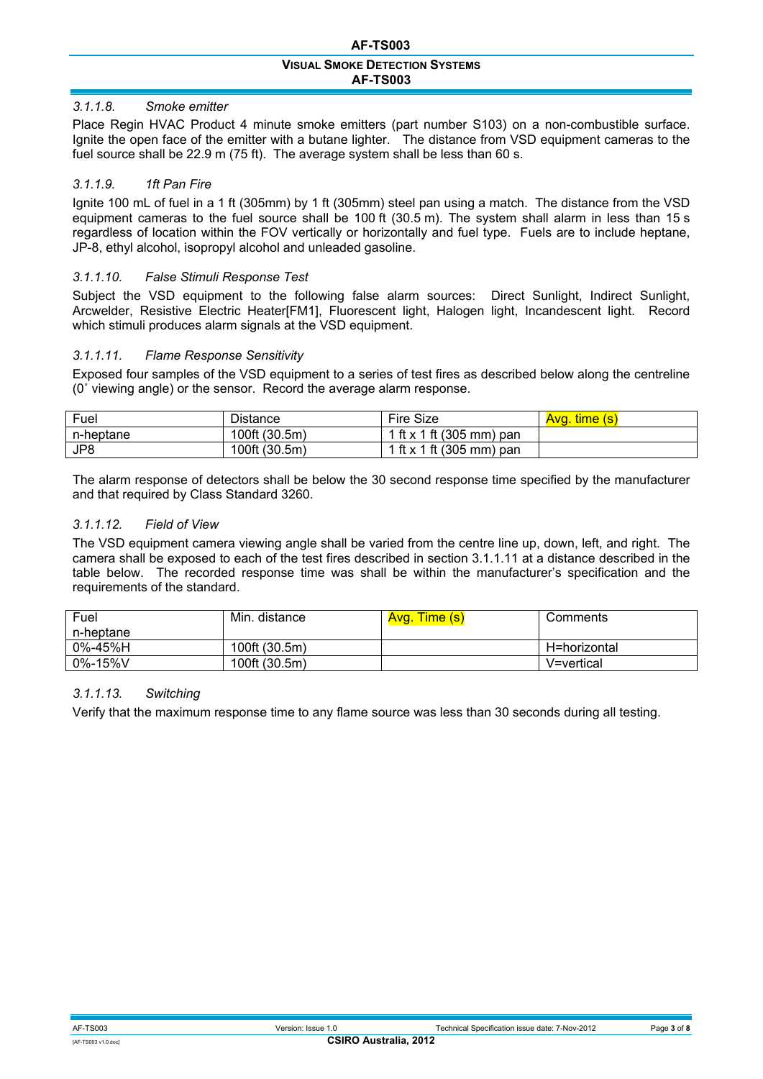# *3.1.1.8. Smoke emitter*

Place Regin HVAC Product 4 minute smoke emitters (part number S103) on a non-combustible surface. Ignite the open face of the emitter with a butane lighter. The distance from VSD equipment cameras to the fuel source shall be 22.9 m (75 ft). The average system shall be less than 60 s.

## *3.1.1.9. 1ft Pan Fire*

Ignite 100 mL of fuel in a 1 ft (305mm) by 1 ft (305mm) steel pan using a match. The distance from the VSD equipment cameras to the fuel source shall be 100 ft (30.5 m). The system shall alarm in less than 15 s regardless of location within the FOV vertically or horizontally and fuel type. Fuels are to include heptane, JP-8, ethyl alcohol, isopropyl alcohol and unleaded gasoline.

## *3.1.1.10. False Stimuli Response Test*

Subject the VSD equipment to the following false alarm sources: Direct Sunlight, Indirect Sunlight, Arcwelder, Resistive Electric Heater[FM1], Fluorescent light, Halogen light, Incandescent light. Record which stimuli produces alarm signals at the VSD equipment.

## *3.1.1.11. Flame Response Sensitivity*

Exposed four samples of the VSD equipment to a series of test fires as described below along the centreline (0˚ viewing angle) or the sensor. Record the average alarm response.

| Fuel      | Distance      | Fire Size                | time (s)<br>Ava. |
|-----------|---------------|--------------------------|------------------|
| n-heptane | 100ft (30.5m) | 1 ft x 1 ft (305 mm) pan |                  |
| JP8       | 100ft (30.5m) | 1 ft x 1 ft (305 mm) pan |                  |

The alarm response of detectors shall be below the 30 second response time specified by the manufacturer and that required by Class Standard 3260.

## *3.1.1.12. Field of View*

The VSD equipment camera viewing angle shall be varied from the centre line up, down, left, and right. The camera shall be exposed to each of the test fires described in section 3.1.1.11 at a distance described in the table below. The recorded response time was shall be within the manufacturer's specification and the requirements of the standard.

| Fuel           | Min. distance | Avg. Time (s) | Comments     |
|----------------|---------------|---------------|--------------|
| n-heptane      |               |               |              |
| $0\% - 45\%$ H | 100ft (30.5m) |               | H=horizontal |
| $0\% - 15\%$ V | 100ft (30.5m) |               | V=vertical   |

## *3.1.1.13. Switching*

Verify that the maximum response time to any flame source was less than 30 seconds during all testing.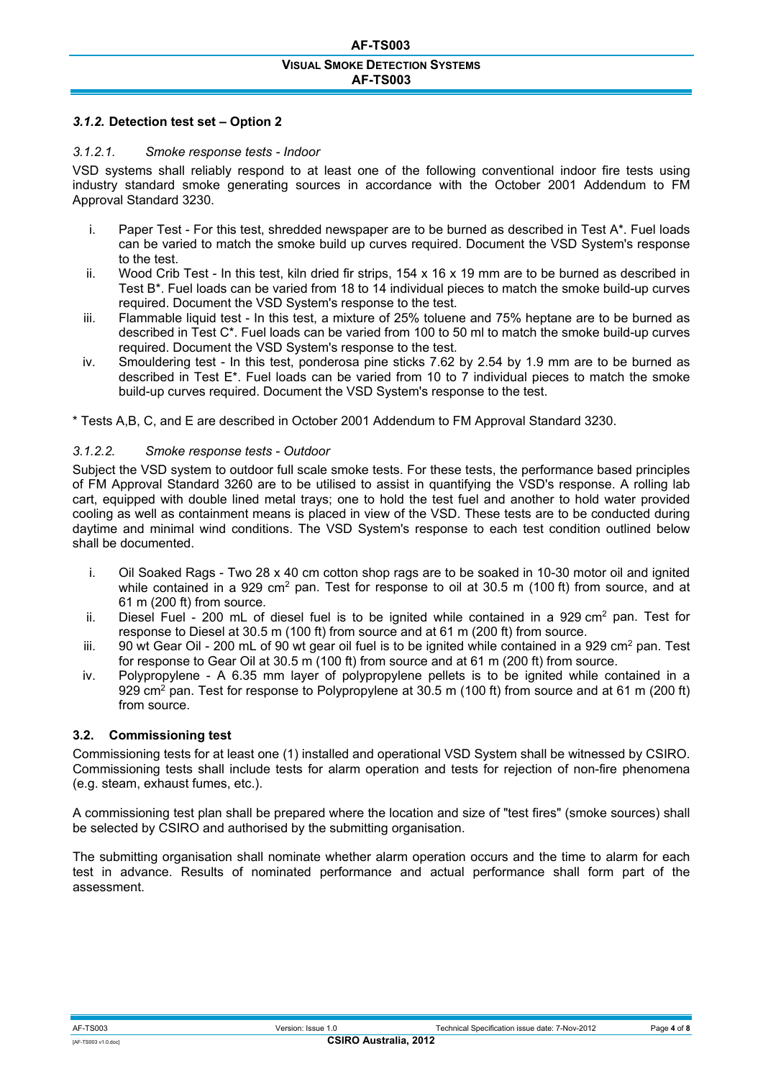### *3.1.2.* **Detection test set – Option 2**

### *3.1.2.1. Smoke response tests - Indoor*

VSD systems shall reliably respond to at least one of the following conventional indoor fire tests using industry standard smoke generating sources in accordance with the October 2001 Addendum to FM Approval Standard 3230.

- i. Paper Test For this test, shredded newspaper are to be burned as described in Test A\*. Fuel loads can be varied to match the smoke build up curves required. Document the VSD System's response to the test.
- ii. Wood Crib Test In this test, kiln dried fir strips, 154 x 16 x 19 mm are to be burned as described in Test B\*. Fuel loads can be varied from 18 to 14 individual pieces to match the smoke build-up curves required. Document the VSD System's response to the test.
- iii. Flammable liquid test In this test, a mixture of 25% toluene and 75% heptane are to be burned as described in Test C\*. Fuel loads can be varied from 100 to 50 ml to match the smoke build-up curves required. Document the VSD System's response to the test.
- iv. Smouldering test In this test, ponderosa pine sticks 7.62 by 2.54 by 1.9 mm are to be burned as described in Test E\*. Fuel loads can be varied from 10 to 7 individual pieces to match the smoke build-up curves required. Document the VSD System's response to the test.

\* Tests A,B, C, and E are described in October 2001 Addendum to FM Approval Standard 3230.

### *3.1.2.2. Smoke response tests - Outdoor*

Subject the VSD system to outdoor full scale smoke tests. For these tests, the performance based principles of FM Approval Standard 3260 are to be utilised to assist in quantifying the VSD's response. A rolling lab cart, equipped with double lined metal trays; one to hold the test fuel and another to hold water provided cooling as well as containment means is placed in view of the VSD. These tests are to be conducted during daytime and minimal wind conditions. The VSD System's response to each test condition outlined below shall be documented.

- i. Oil Soaked Rags Two 28 x 40 cm cotton shop rags are to be soaked in 10-30 motor oil and ignited while contained in a 929 cm<sup>2</sup> pan. Test for response to oil at 30.5 m (100 ft) from source, and at 61 m (200 ft) from source.
- ii. Diesel Fuel 200 mL of diesel fuel is to be ignited while contained in a 929 cm<sup>2</sup> pan. Test for response to Diesel at 30.5 m (100 ft) from source and at 61 m (200 ft) from source.
- iii. 90 wt Gear Oil 200 mL of 90 wt gear oil fuel is to be ignited while contained in a 929 cm<sup>2</sup> pan. Test for response to Gear Oil at 30.5 m (100 ft) from source and at 61 m (200 ft) from source.
- iv. Polypropylene A 6.35 mm layer of polypropylene pellets is to be ignited while contained in a 929 cm<sup>2</sup> pan. Test for response to Polypropylene at 30.5 m (100 ft) from source and at 61 m (200 ft) from source.

### **3.2. Commissioning test**

Commissioning tests for at least one (1) installed and operational VSD System shall be witnessed by CSIRO. Commissioning tests shall include tests for alarm operation and tests for rejection of non-fire phenomena (e.g. steam, exhaust fumes, etc.).

A commissioning test plan shall be prepared where the location and size of "test fires" (smoke sources) shall be selected by CSIRO and authorised by the submitting organisation.

The submitting organisation shall nominate whether alarm operation occurs and the time to alarm for each test in advance. Results of nominated performance and actual performance shall form part of the assessment.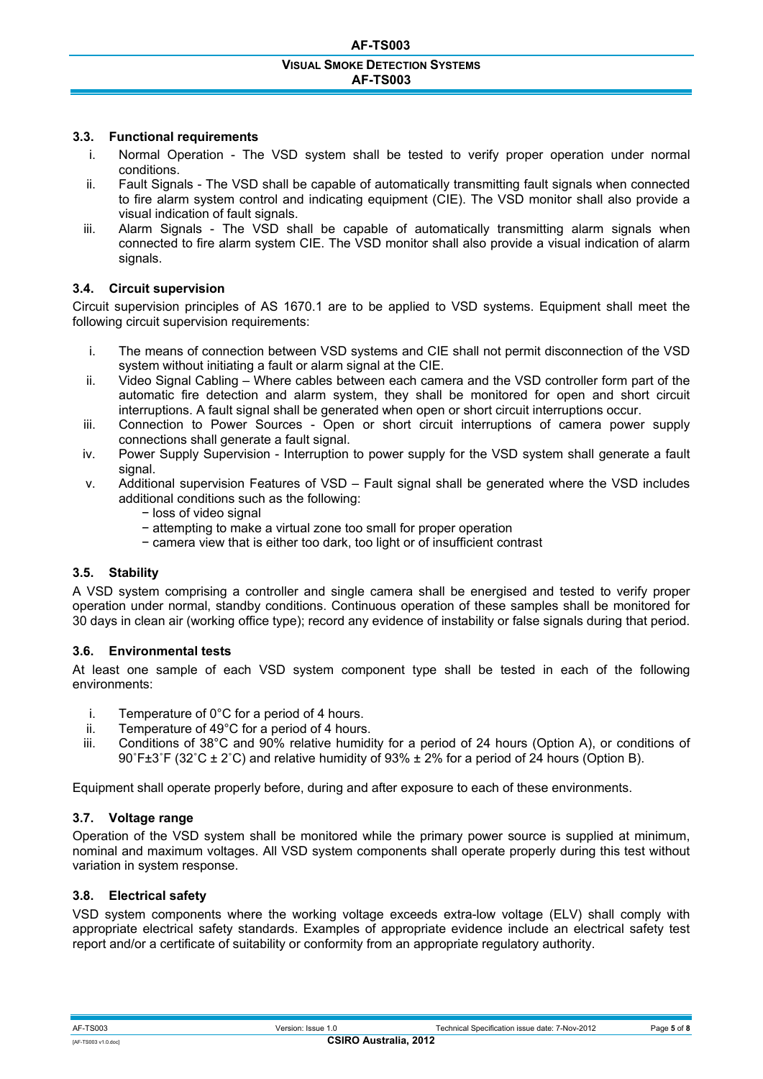### **AF-TS003**

#### **VISUAL SMOKE DETECTION SYSTEMS AF-TS003**

### **3.3. Functional requirements**

- i. Normal Operation The VSD system shall be tested to verify proper operation under normal conditions.
- ii. Fault Signals The VSD shall be capable of automatically transmitting fault signals when connected to fire alarm system control and indicating equipment (CIE). The VSD monitor shall also provide a visual indication of fault signals.
- iii. Alarm Signals The VSD shall be capable of automatically transmitting alarm signals when connected to fire alarm system CIE. The VSD monitor shall also provide a visual indication of alarm signals.

### **3.4. Circuit supervision**

Circuit supervision principles of AS 1670.1 are to be applied to VSD systems. Equipment shall meet the following circuit supervision requirements:

- i. The means of connection between VSD systems and CIE shall not permit disconnection of the VSD system without initiating a fault or alarm signal at the CIE.
- ii. Video Signal Cabling Where cables between each camera and the VSD controller form part of the automatic fire detection and alarm system, they shall be monitored for open and short circuit interruptions. A fault signal shall be generated when open or short circuit interruptions occur.
- iii. Connection to Power Sources Open or short circuit interruptions of camera power supply connections shall generate a fault signal.
- iv. Power Supply Supervision Interruption to power supply for the VSD system shall generate a fault signal.
- v. Additional supervision Features of VSD Fault signal shall be generated where the VSD includes additional conditions such as the following:
	- − loss of video signal
	- − attempting to make a virtual zone too small for proper operation
	- − camera view that is either too dark, too light or of insufficient contrast

### **3.5. Stability**

A VSD system comprising a controller and single camera shall be energised and tested to verify proper operation under normal, standby conditions. Continuous operation of these samples shall be monitored for 30 days in clean air (working office type); record any evidence of instability or false signals during that period.

### **3.6. Environmental tests**

At least one sample of each VSD system component type shall be tested in each of the following environments:

- i. Temperature of 0°C for a period of 4 hours.
- ii. Temperature of 49°C for a period of 4 hours.
- iii. Conditions of 38°C and 90% relative humidity for a period of 24 hours (Option A), or conditions of 90 $F\pm3/F$  (32 $^{\circ}$ C  $\pm$  2 $^{\circ}$ C) and relative humidity of 93%  $\pm$  2% for a period of 24 hours (Option B).

Equipment shall operate properly before, during and after exposure to each of these environments.

## **3.7. Voltage range**

Operation of the VSD system shall be monitored while the primary power source is supplied at minimum, nominal and maximum voltages. All VSD system components shall operate properly during this test without variation in system response.

## **3.8. Electrical safety**

VSD system components where the working voltage exceeds extra-low voltage (ELV) shall comply with appropriate electrical safety standards. Examples of appropriate evidence include an electrical safety test report and/or a certificate of suitability or conformity from an appropriate regulatory authority.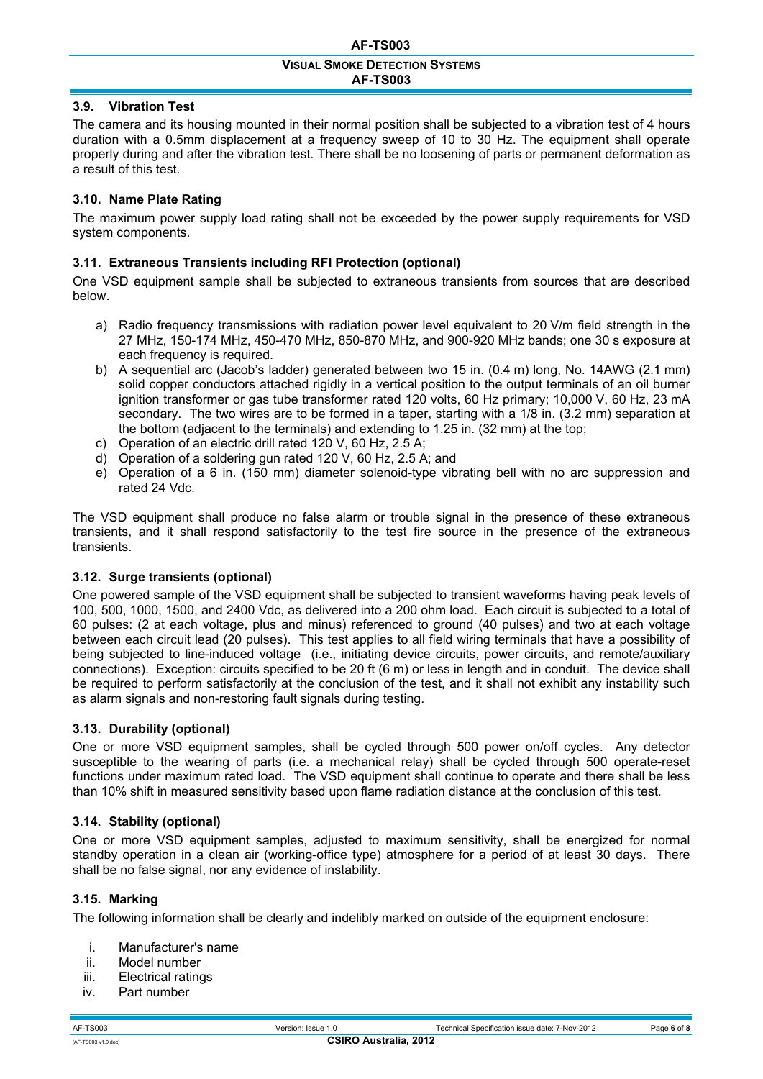## **3.9. Vibration Test**

The camera and its housing mounted in their normal position shall be subjected to a vibration test of 4 hours duration with a 0.5mm displacement at a frequency sweep of 10 to 30 Hz. The equipment shall operate properly during and after the vibration test. There shall be no loosening of parts or permanent deformation as a result of this test.

## **3.10. Name Plate Rating**

The maximum power supply load rating shall not be exceeded by the power supply requirements for VSD system components.

## **3.11. Extraneous Transients including RFI Protection (optional)**

One VSD equipment sample shall be subjected to extraneous transients from sources that are described below.

- a) Radio frequency transmissions with radiation power level equivalent to 20 V/m field strength in the 27 MHz, 150-174 MHz, 450-470 MHz, 850-870 MHz, and 900-920 MHz bands; one 30 s exposure at each frequency is required.
- b) A sequential arc (Jacob's ladder) generated between two 15 in. (0.4 m) long, No. 14AWG (2.1 mm) solid copper conductors attached rigidly in a vertical position to the output terminals of an oil burner ignition transformer or gas tube transformer rated 120 volts, 60 Hz primary; 10,000 V, 60 Hz, 23 mA secondary. The two wires are to be formed in a taper, starting with a 1/8 in. (3.2 mm) separation at the bottom (adjacent to the terminals) and extending to 1.25 in. (32 mm) at the top;
- c) Operation of an electric drill rated 120 V, 60 Hz, 2.5 A;
- d) Operation of a soldering gun rated 120 V, 60 Hz, 2.5 A; and
- e) Operation of a 6 in. (150 mm) diameter solenoid-type vibrating bell with no arc suppression and rated 24 Vdc.

The VSD equipment shall produce no false alarm or trouble signal in the presence of these extraneous transients, and it shall respond satisfactorily to the test fire source in the presence of the extraneous transients.

## **3.12. Surge transients (optional)**

One powered sample of the VSD equipment shall be subjected to transient waveforms having peak levels of 100, 500, 1000, 1500, and 2400 Vdc, as delivered into a 200 ohm load. Each circuit is subjected to a total of 60 pulses: (2 at each voltage, plus and minus) referenced to ground (40 pulses) and two at each voltage between each circuit lead (20 pulses). This test applies to all field wiring terminals that have a possibility of being subjected to line-induced voltage (i.e., initiating device circuits, power circuits, and remote/auxiliary connections). Exception: circuits specified to be 20 ft (6 m) or less in length and in conduit. The device shall be required to perform satisfactorily at the conclusion of the test, and it shall not exhibit any instability such as alarm signals and non-restoring fault signals during testing.

## **3.13. Durability (optional)**

One or more VSD equipment samples, shall be cycled through 500 power on/off cycles. Any detector susceptible to the wearing of parts (i.e. a mechanical relay) shall be cycled through 500 operate-reset functions under maximum rated load. The VSD equipment shall continue to operate and there shall be less than 10% shift in measured sensitivity based upon flame radiation distance at the conclusion of this test.

## **3.14. Stability (optional)**

One or more VSD equipment samples, adjusted to maximum sensitivity, shall be energized for normal standby operation in a clean air (working-office type) atmosphere for a period of at least 30 days. There shall be no false signal, nor any evidence of instability.

## **3.15. Marking**

The following information shall be clearly and indelibly marked on outside of the equipment enclosure:

- i. Manufacturer's name<br>ii. Model number
- Model number
- iii. Electrical ratings
- iv. Part number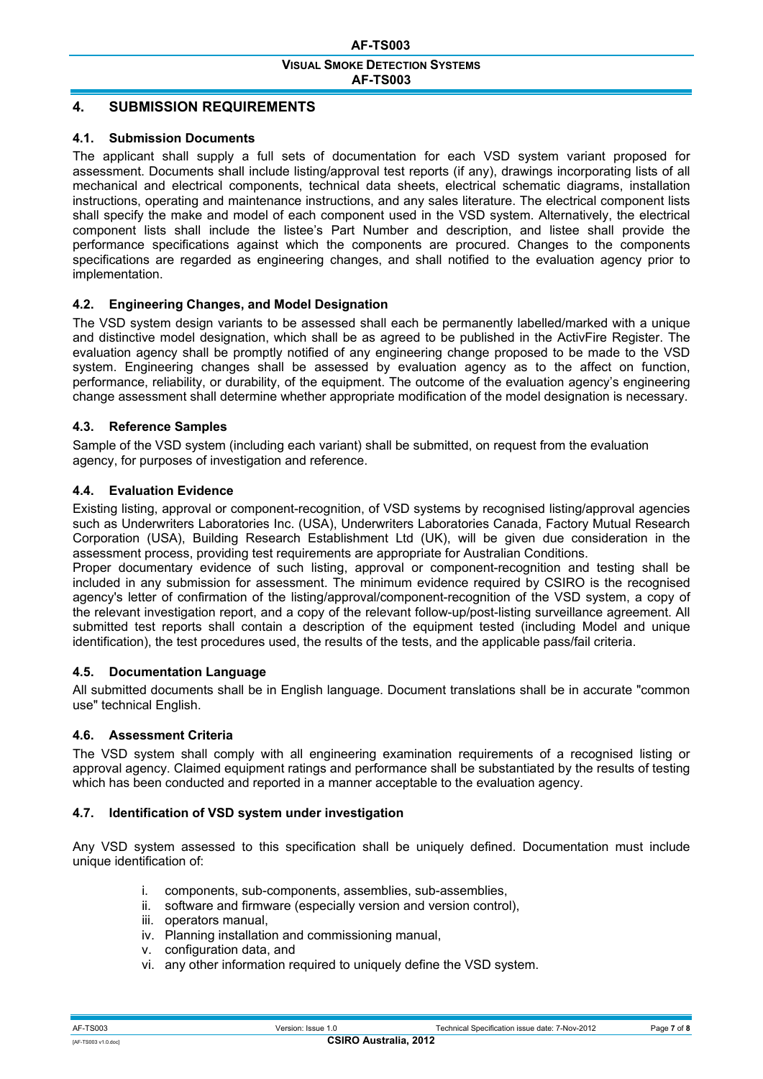# **4. SUBMISSION REQUIREMENTS**

### **4.1. Submission Documents**

The applicant shall supply a full sets of documentation for each VSD system variant proposed for assessment. Documents shall include listing/approval test reports (if any), drawings incorporating lists of all mechanical and electrical components, technical data sheets, electrical schematic diagrams, installation instructions, operating and maintenance instructions, and any sales literature. The electrical component lists shall specify the make and model of each component used in the VSD system. Alternatively, the electrical component lists shall include the listee's Part Number and description, and listee shall provide the performance specifications against which the components are procured. Changes to the components specifications are regarded as engineering changes, and shall notified to the evaluation agency prior to implementation.

## **4.2. Engineering Changes, and Model Designation**

The VSD system design variants to be assessed shall each be permanently labelled/marked with a unique and distinctive model designation, which shall be as agreed to be published in the ActivFire Register. The evaluation agency shall be promptly notified of any engineering change proposed to be made to the VSD system. Engineering changes shall be assessed by evaluation agency as to the affect on function, performance, reliability, or durability, of the equipment. The outcome of the evaluation agency's engineering change assessment shall determine whether appropriate modification of the model designation is necessary.

## **4.3. Reference Samples**

Sample of the VSD system (including each variant) shall be submitted, on request from the evaluation agency, for purposes of investigation and reference.

### **4.4. Evaluation Evidence**

Existing listing, approval or component-recognition, of VSD systems by recognised listing/approval agencies such as Underwriters Laboratories Inc. (USA), Underwriters Laboratories Canada, Factory Mutual Research Corporation (USA), Building Research Establishment Ltd (UK), will be given due consideration in the assessment process, providing test requirements are appropriate for Australian Conditions.

Proper documentary evidence of such listing, approval or component-recognition and testing shall be included in any submission for assessment. The minimum evidence required by CSIRO is the recognised agency's letter of confirmation of the listing/approval/component-recognition of the VSD system, a copy of the relevant investigation report, and a copy of the relevant follow-up/post-listing surveillance agreement. All submitted test reports shall contain a description of the equipment tested (including Model and unique identification), the test procedures used, the results of the tests, and the applicable pass/fail criteria.

### **4.5. Documentation Language**

All submitted documents shall be in English language. Document translations shall be in accurate "common use" technical English.

## **4.6. Assessment Criteria**

The VSD system shall comply with all engineering examination requirements of a recognised listing or approval agency. Claimed equipment ratings and performance shall be substantiated by the results of testing which has been conducted and reported in a manner acceptable to the evaluation agency.

### **4.7. Identification of VSD system under investigation**

Any VSD system assessed to this specification shall be uniquely defined. Documentation must include unique identification of:

- i. components, sub-components, assemblies, sub-assemblies,
- ii. software and firmware (especially version and version control),
- iii. operators manual,
- iv. Planning installation and commissioning manual,
- v. configuration data, and
- vi. any other information required to uniquely define the VSD system.